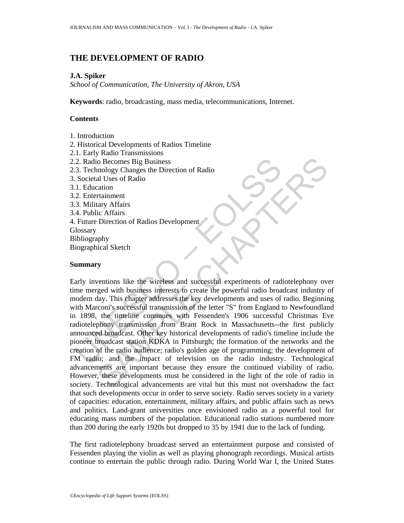# **THE DEVELOPMENT OF RADIO**

# **J.A. Spiker**

*School of Communication, The University of Akron, USA* 

**Keywords**: radio, broadcasting, mass media, telecommunications, Internet.

# **Contents**

- 1. Introduction
- 2. Historical Developments of Radios Timeline
- 2.1. Early Radio Transmissions
- 2.2. Radio Becomes Big Business
- 2.3. Technology Changes the Direction of Radio
- 3. Societal Uses of Radio
- 3.1. Education
- 3.2. Entertainment
- 3.3. Military Affairs
- 3.4. Public Affairs
- 4. Future Direction of Radios Development
- **Glossary**
- Bibliography
- Biographical Sketch

### **Summary**

2. Radio Becomes Big Business<br>
3. Technology Changes the Direction of Radio<br>
Societal Uses of Radio<br>
1.1. Education<br>
2. Entertainment<br>
2. Entertainment<br>
3. Military Affairs<br>
4. Public Affairs<br>
4. Public Affairs<br>
4. Public COME SIGN BUSINESS<br>
CONCRETE DEVICE TO CONSULTED THE CONDUCT CONDUCT CONDUCT CONDUCT THE TRANSICAL SAMPLET IN A SAMPLET IN THE USE<br>
THE CHAPTER IS IN THE CONSULTED IN THE CONSULTED IN THE CONSULTED IN THE CONSULTED IN THE Early inventions like the wireless and successful experiments of radiotelephony over time merged with business interests to create the powerful radio broadcast industry of modern day. This chapter addresses the key developments and uses of radio. Beginning with Marconi's successful transmission of the letter "S" from England to Newfoundland in 1898, the timeline continues with Fessenden's 1906 successful Christmas Eve radiotelephony transmission from Brant Rock in Massachusetts--the first publicly announced broadcast. Other key historical developments of radio's timeline include the pioneer broadcast station KDKA in Pittsburgh; the formation of the networks and the creation of the radio audience; radio's golden age of programming; the development of FM radio; and the impact of television on the radio industry. Technological advancements are important because they ensure the continued viability of radio. However, these developments must be considered in the light of the role of radio in society. Technological advancements are vital but this must not overshadow the fact that such developments occur in order to serve society. Radio serves society in a variety of capacities: education, entertainment, military affairs, and public affairs such as news and politics. Land-grant universities once envisioned radio as a powerful tool for educating mass numbers of the population. Educational radio stations numbered more than 200 during the early 1920s but dropped to 35 by 1941 due to the lack of funding.

The first radiotelephony broadcast served an entertainment purpose and consisted of Fessenden playing the violin as well as playing phonograph recordings. Musical artists continue to entertain the public through radio. During World War I, the United States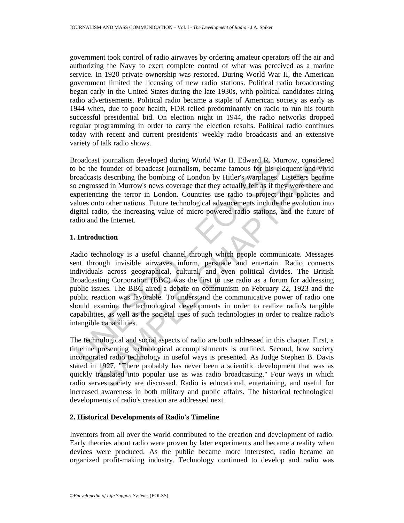government took control of radio airwaves by ordering amateur operators off the air and authorizing the Navy to exert complete control of what was perceived as a marine service. In 1920 private ownership was restored. During World War II, the American government limited the licensing of new radio stations. Political radio broadcasting began early in the United States during the late 1930s, with political candidates airing radio advertisements. Political radio became a staple of American society as early as 1944 when, due to poor health, FDR relied predominantly on radio to run his fourth successful presidential bid. On election night in 1944, the radio networks dropped regular programming in order to carry the election results. Political radio continues today with recent and current presidents' weekly radio broadcasts and an extensive variety of talk radio shows.

Broadcast journalism developed during World War II. Edward R. Murrow, considered to be the founder of broadcast journalism, became famous for his eloquent and vivid broadcasts describing the bombing of London by Hitler's warplanes. Listeners became so engrossed in Murrow's news coverage that they actually felt as if they were there and experiencing the terror in London. Countries use radio to project their policies and values onto other nations. Future technological advancements include the evolution into digital radio, the increasing value of micro-powered radio stations, and the future of radio and the Internet.

# **1. Introduction**

roadcast journalism developed during World War II. Edward R. Mu<br>
be the founder of broadcast journalism, became famous for his elector<br>
concleasts describing the bombing of London by Hitler's warplanes.<br>
Dengrossed in Murr is journalism developed during World War II. Edward R, Murrow, considere foundating becomes for his cloquent and vivis expect is describing the term fanctor of brackets is describing the term foundation, became fannous for Radio technology is a useful channel through which people communicate. Messages sent through invisible airwaves inform, persuade and entertain. Radio connects individuals across geographical, cultural, and even political divides. The British Broadcasting Corporation (BBC) was the first to use radio as a forum for addressing public issues. The BBC aired a debate on communism on February 22, 1923 and the public reaction was favorable. To understand the communicative power of radio one should examine the technological developments in order to realize radio's tangible capabilities, as well as the societal uses of such technologies in order to realize radio's intangible capabilities.

The technological and social aspects of radio are both addressed in this chapter. First, a timeline presenting technological accomplishments is outlined. Second, how society incorporated radio technology in useful ways is presented. As Judge Stephen B. Davis stated in 1927, "There probably has never been a scientific development that was as quickly translated into popular use as was radio broadcasting." Four ways in which radio serves society are discussed. Radio is educational, entertaining, and useful for increased awareness in both military and public affairs. The historical technological developments of radio's creation are addressed next.

# **2. Historical Developments of Radio's Timeline**

Inventors from all over the world contributed to the creation and development of radio. Early theories about radio were proven by later experiments and became a reality when devices were produced. As the public became more interested, radio became an organized profit-making industry. Technology continued to develop and radio was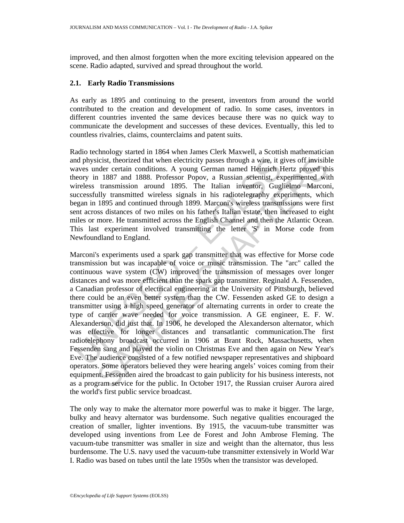improved, and then almost forgotten when the more exciting television appeared on the scene. Radio adapted, survived and spread throughout the world.

### **2.1. Early Radio Transmissions**

As early as 1895 and continuing to the present, inventors from around the world contributed to the creation and development of radio. In some cases, inventors in different countries invented the same devices because there was no quick way to communicate the development and successes of these devices. Eventually, this led to countless rivalries, claims, counterclaims and patent suits.

Radio technology started in 1864 when James Clerk Maxwell, a Scottish mathematician and physicist, theorized that when electricity passes through a wire, it gives off invisible waves under certain conditions. A young German named Heinrich Hertz proved this theory in 1887 and 1888. Professor Popov, a Russian scientist, experimented with wireless transmission around 1895. The Italian inventor, Guglielmo Marconi, successfully transmitted wireless signals in his radiotelegraphy experiments, which began in 1895 and continued through 1899. Marconi's wireless transmissions were first sent across distances of two miles on his father's Italian estate, then increased to eight miles or more. He transmitted across the English Channel and then the Atlantic Ocean. This last experiment involved transmitting the letter 'S' in Morse code from Newfoundland to England.

and physicist, theorized that when electricity passes through a wire, it gaves under certain conditions. A young German named Heinrich F<br>acves under certain conditions. A young German named Heinrich F<br>errory in 1887 and 18 icist, theorized that when electricity passes through a wire, it gives off invisible are certain conditions. A young German named Heindreh Hetz proved that that in 1887 and 1888. Professor Popov, a Russian scientist, exper Marconi's experiments used a spark gap transmitter that was effective for Morse code transmission but was incapable of voice or music transmission. The "arc" called the continuous wave system (CW) improved the transmission of messages over longer distances and was more efficient than the spark gap transmitter. Reginald A. Fessenden, a Canadian professor of electrical engineering at the University of Pittsburgh, believed there could be an even better system than the CW. Fessenden asked GE to design a transmitter using a high speed generator of alternating currents in order to create the type of carrier wave needed for voice transmission. A GE engineer, E. F. W. Alexanderson, did just that. In 1906, he developed the Alexanderson alternator, which was effective for longer distances and transatlantic communication.The first radiotelephony broadcast occurred in 1906 at Brant Rock, Massachusetts, when Fessenden sang and played the violin on Christmas Eve and then again on New Year's Eve. The audience consisted of a few notified newspaper representatives and shipboard operators. Some operators believed they were hearing angels' voices coming from their equipment. Fessenden aired the broadcast to gain publicity for his business interests, not as a program service for the public. In October 1917, the Russian cruiser Aurora aired the world's first public service broadcast.

The only way to make the alternator more powerful was to make it bigger. The large, bulky and heavy alternator was burdensome. Such negative qualities encouraged the creation of smaller, lighter inventions. By 1915, the vacuum-tube transmitter was developed using inventions from Lee de Forest and John Ambrose Fleming. The vacuum-tube transmitter was smaller in size and weight than the alternator, thus less burdensome. The U.S. navy used the vacuum-tube transmitter extensively in World War I. Radio was based on tubes until the late 1950s when the transistor was developed.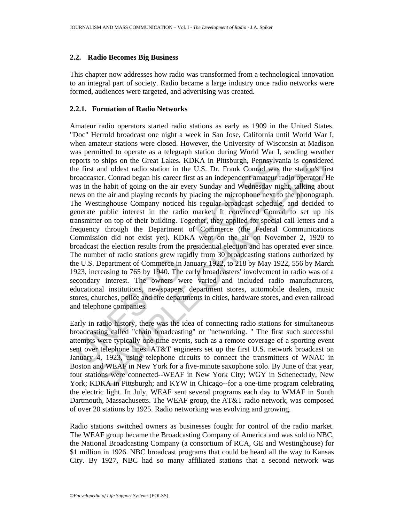### **2.2. Radio Becomes Big Business**

This chapter now addresses how radio was transformed from a technological innovation to an integral part of society. Radio became a large industry once radio networks were formed, audiences were targeted, and advertising was created.

# **2.2.1. Formation of Radio Networks**

ports to ships on the Great Lakes. KDKA in Pittsburgh, Pennsylva<br>re first and oldest radio station in the U.S. Dr. Frank Conrad was<br>roadcaster. Conrad began his career first as an independent amatur ra<br>reading as<br>as in the b ships on the Great Lakes. KDKA in Pittsburgh, Pennsylvania is considere and oldest radio station in the U.S. Dr. Frank Conrad was the stations fire<br>ter. Conrad began his career first as an independent amateur radio opera Amateur radio operators started radio stations as early as 1909 in the United States. "Doc" Herrold broadcast one night a week in San Jose, California until World War I, when amateur stations were closed. However, the University of Wisconsin at Madison was permitted to operate as a telegraph station during World War I, sending weather reports to ships on the Great Lakes. KDKA in Pittsburgh, Pennsylvania is considered the first and oldest radio station in the U.S. Dr. Frank Conrad was the station's first broadcaster. Conrad began his career first as an independent amateur radio operator. He was in the habit of going on the air every Sunday and Wednesday night, talking about news on the air and playing records by placing the microphone next to the phonograph. The Westinghouse Company noticed his regular broadcast schedule, and decided to generate public interest in the radio market. It convinced Conrad to set up his transmitter on top of their building. Together, they applied for special call letters and a frequency through the Department of Commerce (the Federal Communications Commission did not exist yet). KDKA went on the air on November 2, 1920 to broadcast the election results from the presidential election and has operated ever since. The number of radio stations grew rapidly from 30 broadcasting stations authorized by the U.S. Department of Commerce in January 1922, to 218 by May 1922, 556 by March 1923, increasing to 765 by 1940. The early broadcasters' involvement in radio was of a secondary interest. The owners were varied and included radio manufacturers, educational institutions, newspapers, department stores, automobile dealers, music stores, churches, police and fire departments in cities, hardware stores, and even railroad and telephone companies.

Early in radio history, there was the idea of connecting radio stations for simultaneous broadcasting called "chain broadcasting" or "networking. " The first such successful attempts were typically one-time events, such as a remote coverage of a sporting event sent over telephone lines. AT&T engineers set up the first U.S. network broadcast on January 4, 1923, using telephone circuits to connect the transmitters of WNAC in Boston and WEAF in New York for a five-minute saxophone solo. By June of that year, four stations were connected--WEAF in New York City; WGY in Schenectady, New York; KDKA in Pittsburgh; and KYW in Chicago--for a one-time program celebrating the electric light. In July, WEAF sent several programs each day to WMAF in South Dartmouth, Massachusetts. The WEAF group, the AT&T radio network, was composed of over 20 stations by 1925. Radio networking was evolving and growing.

Radio stations switched owners as businesses fought for control of the radio market. The WEAF group became the Broadcasting Company of America and was sold to NBC, the National Broadcasting Company (a consortium of RCA, GE and Westinghouse) for \$1 million in 1926. NBC broadcast programs that could be heard all the way to Kansas City. By 1927, NBC had so many affiliated stations that a second network was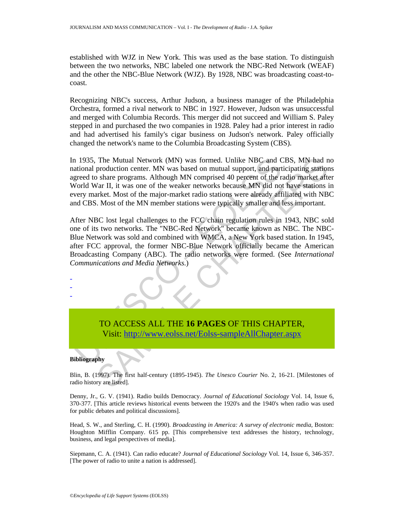established with WJZ in New York. This was used as the base station. To distinguish between the two networks, NBC labeled one network the NBC-Red Network (WEAF) and the other the NBC-Blue Network (WJZ). By 1928, NBC was broadcasting coast-tocoast.

Recognizing NBC's success, Arthur Judson, a business manager of the Philadelphia Orchestra, formed a rival network to NBC in 1927. However, Judson was unsuccessful and merged with Columbia Records. This merger did not succeed and William S. Paley stepped in and purchased the two companies in 1928. Paley had a prior interest in radio and had advertised his family's cigar business on Judson's network. Paley officially changed the network's name to the Columbia Broadcasting System (CBS).

The Mutual Network (MN) was formed. Unlike NBC and CBS, MN had no<br>production centr. MN was based on mutual support, and participating station<br>share programs. Although MN comprised 40 percent of the radio market after<br>Var I In 1935, The Mutual Network (MN) was formed. Unlike NBC and CBS, MN had no national production center. MN was based on mutual support, and participating stations agreed to share programs. Although MN comprised 40 percent of the radio market after World War II, it was one of the weaker networks because MN did not have stations in every market. Most of the major-market radio stations were already affiliated with NBC and CBS. Most of the MN member stations were typically smaller and less important.

1935, The Mutual Network (MN) was formed. Unlike NBC and C<br>
ational production center. MN was based on mutual support, and part<br>
greed to share programs. Although MN comprised 40 percent of the r<br>
ordd War II, it was one o After NBC lost legal challenges to the FCC chain regulation rules in 1943, NBC sold one of its two networks. The "NBC-Red Network" became known as NBC. The NBC-Blue Network was sold and combined with WMCA, a New York based station. In 1945, after FCC approval, the former NBC-Blue Network officially became the American Broadcasting Company (ABC). The radio networks were formed. (See *International Communications and Media Networks*.)

# TO ACCESS ALL THE **16 PAGES** OF THIS CHAPTER, Visit: http://www.eolss.net/Eolss-sampleAllChapter.aspx

#### **Bibliography**

- - -

Blin, B. (1997). The first half-century (1895-1945). *The Unesco Courier* No. 2, 16-21. [Milestones of radio history are listed].

Denny, Jr., G. V. (1941). Radio builds Democracy. *Journal of Educational Sociology* Vol. 14, Issue 6, 370-377. [This article reviews historical events between the 1920's and the 1940's when radio was used for public debates and political discussions].

Head, S. W., and Sterling, C. H. (1990). *Broadcasting in America: A survey of electronic media*, Boston: Houghton Mifflin Company. 615 pp. [This comprehensive text addresses the history, technology, business, and legal perspectives of media].

Siepmann, C. A. (1941). Can radio educate? *Journal of Educational Sociology* Vol. 14, Issue 6, 346-357. [The power of radio to unite a nation is addressed].